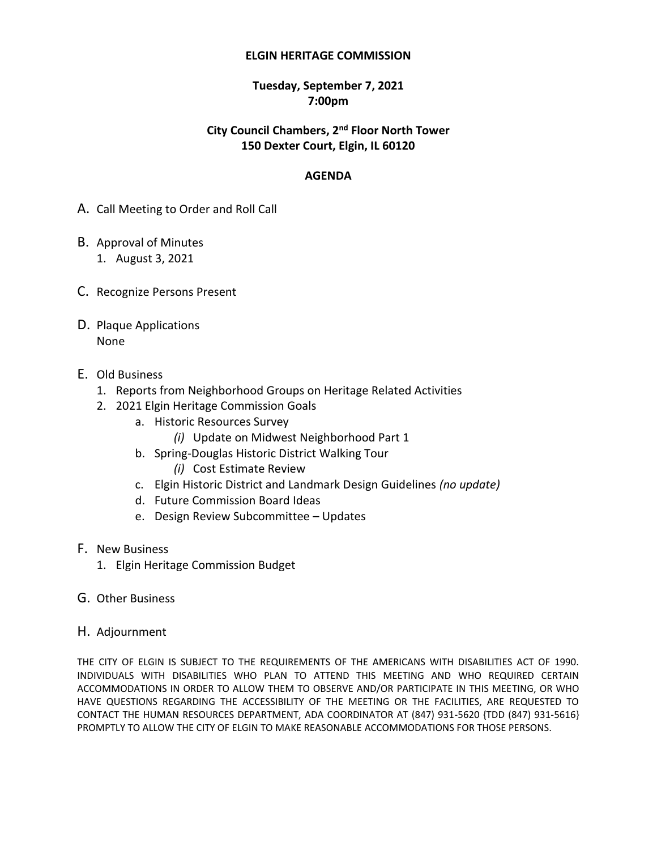#### **ELGIN HERITAGE COMMISSION**

### **Tuesday, September 7, 2021 7:00pm**

### **City Council Chambers, 2 nd Floor North Tower 150 Dexter Court, Elgin, IL 60120**

### **AGENDA**

- A. Call Meeting to Order and Roll Call
- B. Approval of Minutes 1. August 3, 2021
- C. Recognize Persons Present
- D. Plaque Applications None
- E. Old Business
	- 1. Reports from Neighborhood Groups on Heritage Related Activities
	- 2. 2021 Elgin Heritage Commission Goals
		- a. Historic Resources Survey
			- *(i)* Update on Midwest Neighborhood Part 1
		- b. Spring-Douglas Historic District Walking Tour
			- *(i)* Cost Estimate Review
		- c. Elgin Historic District and Landmark Design Guidelines *(no update)*
		- d. Future Commission Board Ideas
		- e. Design Review Subcommittee Updates
- F. New Business
	- 1. Elgin Heritage Commission Budget
- G. Other Business
- H. Adjournment

THE CITY OF ELGIN IS SUBJECT TO THE REQUIREMENTS OF THE AMERICANS WITH DISABILITIES ACT OF 1990. INDIVIDUALS WITH DISABILITIES WHO PLAN TO ATTEND THIS MEETING AND WHO REQUIRED CERTAIN ACCOMMODATIONS IN ORDER TO ALLOW THEM TO OBSERVE AND/OR PARTICIPATE IN THIS MEETING, OR WHO HAVE QUESTIONS REGARDING THE ACCESSIBILITY OF THE MEETING OR THE FACILITIES, ARE REQUESTED TO CONTACT THE HUMAN RESOURCES DEPARTMENT, ADA COORDINATOR AT (847) 931-5620 {TDD (847) 931-5616} PROMPTLY TO ALLOW THE CITY OF ELGIN TO MAKE REASONABLE ACCOMMODATIONS FOR THOSE PERSONS.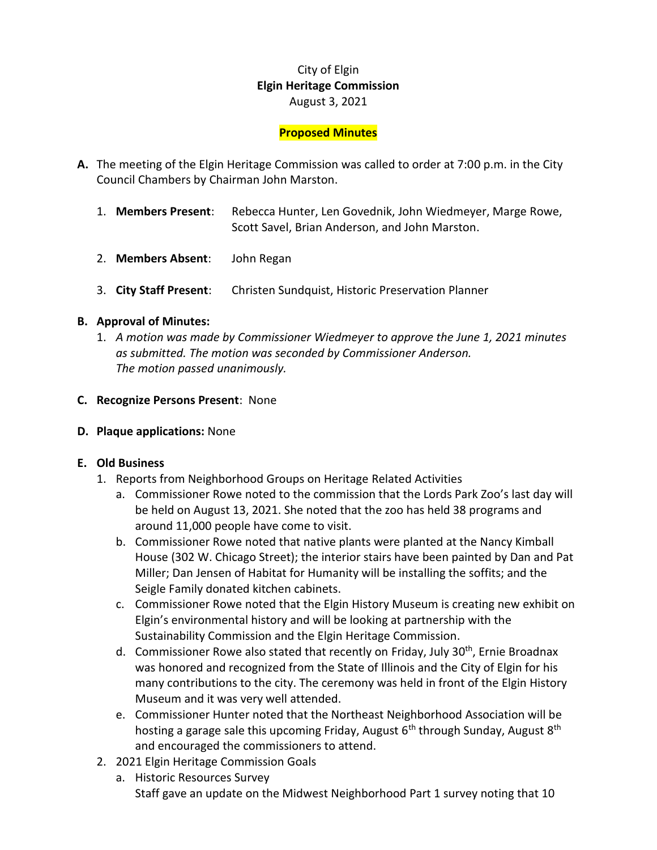# City of Elgin **Elgin Heritage Commission** August 3, 2021

## **Proposed Minutes**

- **A.** The meeting of the Elgin Heritage Commission was called to order at 7:00 p.m. in the City Council Chambers by Chairman John Marston.
	- 1. **Members Present**: Rebecca Hunter, Len Govednik, John Wiedmeyer, Marge Rowe, Scott Savel, Brian Anderson, and John Marston.
	- 2. **Members Absent**: John Regan
	- 3. **City Staff Present**: Christen Sundquist, Historic Preservation Planner

## **B. Approval of Minutes:**

- 1. *A motion was made by Commissioner Wiedmeyer to approve the June 1, 2021 minutes as submitted. The motion was seconded by Commissioner Anderson. The motion passed unanimously.*
- **C. Recognize Persons Present**: None
- **D. Plaque applications:** None

## **E. Old Business**

- 1. Reports from Neighborhood Groups on Heritage Related Activities
	- a. Commissioner Rowe noted to the commission that the Lords Park Zoo's last day will be held on August 13, 2021. She noted that the zoo has held 38 programs and around 11,000 people have come to visit.
	- b. Commissioner Rowe noted that native plants were planted at the Nancy Kimball House (302 W. Chicago Street); the interior stairs have been painted by Dan and Pat Miller; Dan Jensen of Habitat for Humanity will be installing the soffits; and the Seigle Family donated kitchen cabinets.
	- c. Commissioner Rowe noted that the Elgin History Museum is creating new exhibit on Elgin's environmental history and will be looking at partnership with the Sustainability Commission and the Elgin Heritage Commission.
	- d. Commissioner Rowe also stated that recently on Friday, July 30<sup>th</sup>, Ernie Broadnax was honored and recognized from the State of Illinois and the City of Elgin for his many contributions to the city. The ceremony was held in front of the Elgin History Museum and it was very well attended.
	- e. Commissioner Hunter noted that the Northeast Neighborhood Association will be hosting a garage sale this upcoming Friday, August  $6<sup>th</sup>$  through Sunday, August  $8<sup>th</sup>$ and encouraged the commissioners to attend.
- 2. 2021 Elgin Heritage Commission Goals
	- a. Historic Resources Survey Staff gave an update on the Midwest Neighborhood Part 1 survey noting that 10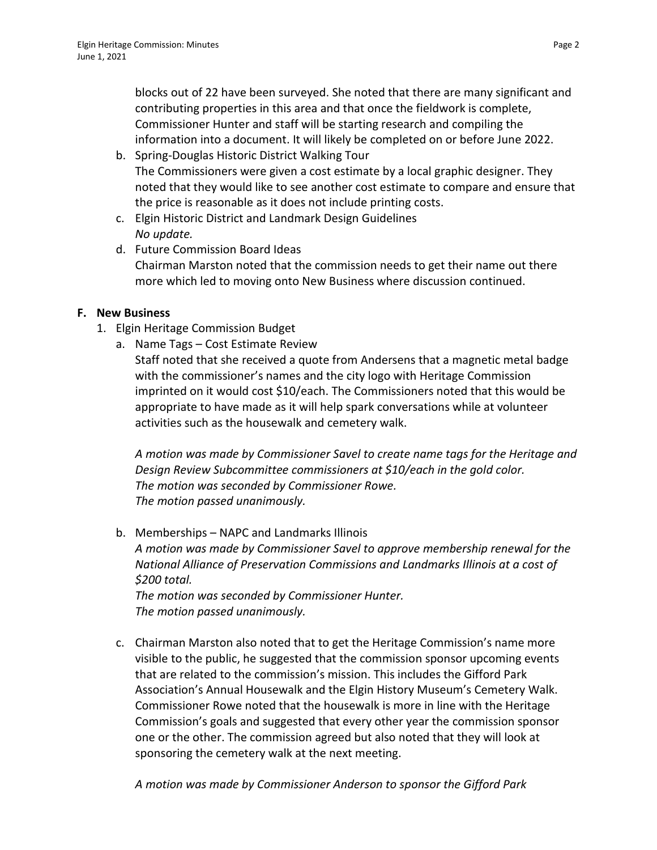blocks out of 22 have been surveyed. She noted that there are many significant and contributing properties in this area and that once the fieldwork is complete, Commissioner Hunter and staff will be starting research and compiling the information into a document. It will likely be completed on or before June 2022.

- b. Spring-Douglas Historic District Walking Tour The Commissioners were given a cost estimate by a local graphic designer. They noted that they would like to see another cost estimate to compare and ensure that the price is reasonable as it does not include printing costs.
- c. Elgin Historic District and Landmark Design Guidelines *No update.*
- d. Future Commission Board Ideas Chairman Marston noted that the commission needs to get their name out there more which led to moving onto New Business where discussion continued.

# **F. New Business**

- 1. Elgin Heritage Commission Budget
	- a. Name Tags Cost Estimate Review Staff noted that she received a quote from Andersens that a magnetic metal badge with the commissioner's names and the city logo with Heritage Commission imprinted on it would cost \$10/each. The Commissioners noted that this would be appropriate to have made as it will help spark conversations while at volunteer activities such as the housewalk and cemetery walk.

*A motion was made by Commissioner Savel to create name tags for the Heritage and Design Review Subcommittee commissioners at \$10/each in the gold color. The motion was seconded by Commissioner Rowe. The motion passed unanimously.*

b. Memberships – NAPC and Landmarks Illinois

*A motion was made by Commissioner Savel to approve membership renewal for the National Alliance of Preservation Commissions and Landmarks Illinois at a cost of \$200 total.* 

*The motion was seconded by Commissioner Hunter. The motion passed unanimously.*

c. Chairman Marston also noted that to get the Heritage Commission's name more visible to the public, he suggested that the commission sponsor upcoming events that are related to the commission's mission. This includes the Gifford Park Association's Annual Housewalk and the Elgin History Museum's Cemetery Walk. Commissioner Rowe noted that the housewalk is more in line with the Heritage Commission's goals and suggested that every other year the commission sponsor one or the other. The commission agreed but also noted that they will look at sponsoring the cemetery walk at the next meeting.

*A motion was made by Commissioner Anderson to sponsor the Gifford Park*